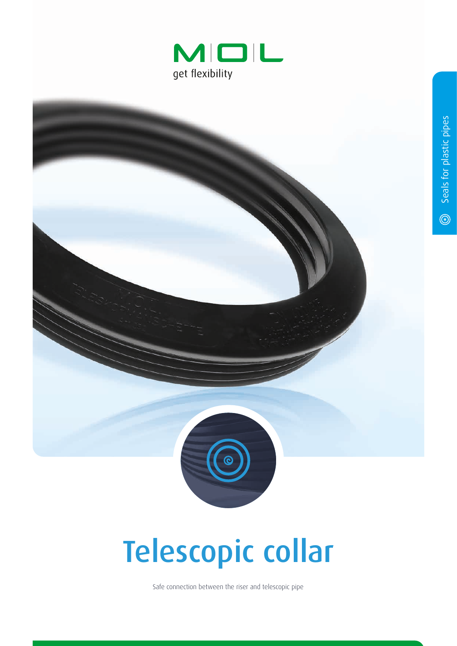



## Telescopic collar

Safe connection between the riser and telescopic pipe